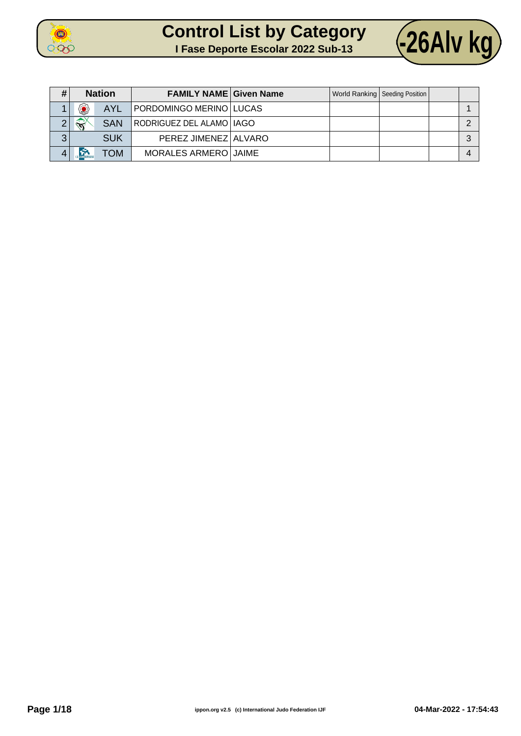



| #        |                                                                                    | <b>Nation</b> | <b>FAMILY NAME Given Name</b> |  | World Ranking   Seeding Position |   |
|----------|------------------------------------------------------------------------------------|---------------|-------------------------------|--|----------------------------------|---|
|          | 0                                                                                  | <b>AYL</b>    | PORDOMINGO MERINO LUCAS       |  |                                  |   |
| $\Omega$ | $\left\langle \left\langle \left\langle \right\rangle \right\rangle \right\rangle$ | <b>SAN</b>    | RODRIGUEZ DEL ALAMO   IAGO    |  |                                  |   |
| ≏<br>J   |                                                                                    | <b>SUK</b>    | PEREZ JIMENEZ ALVARO          |  |                                  | ົ |
|          |                                                                                    | <b>NOT</b>    | MORALES ARMERO JAIME          |  |                                  |   |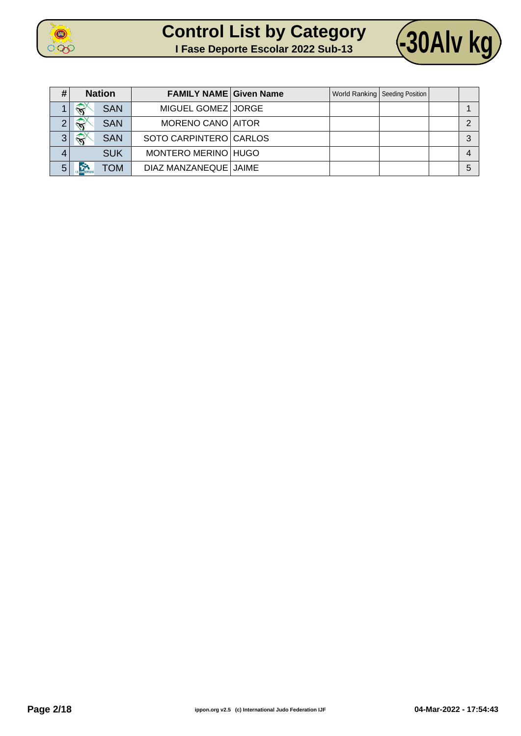



| #              | <b>Nation</b>                        | <b>FAMILY NAME Given Name</b> |  | World Ranking   Seeding Position |   |
|----------------|--------------------------------------|-------------------------------|--|----------------------------------|---|
|                | $\widehat{\mathbf{x}}$<br><b>SAN</b> | MIGUEL GOMEZ JORGE            |  |                                  |   |
| $\Omega$       | $\widehat{\mathbf{N}}$<br><b>SAN</b> | MORENO CANO AITOR             |  |                                  |   |
| 3 <sup>1</sup> | $\bigotimes$<br><b>SAN</b>           | SOTO CARPINTERO CARLOS        |  |                                  | ◠ |
| 4              | <b>SUK</b>                           | MONTERO MERINO HUGO           |  |                                  |   |
| 5              | <b>NOT</b>                           | DIAZ MANZANEQUE JAIME         |  |                                  | 5 |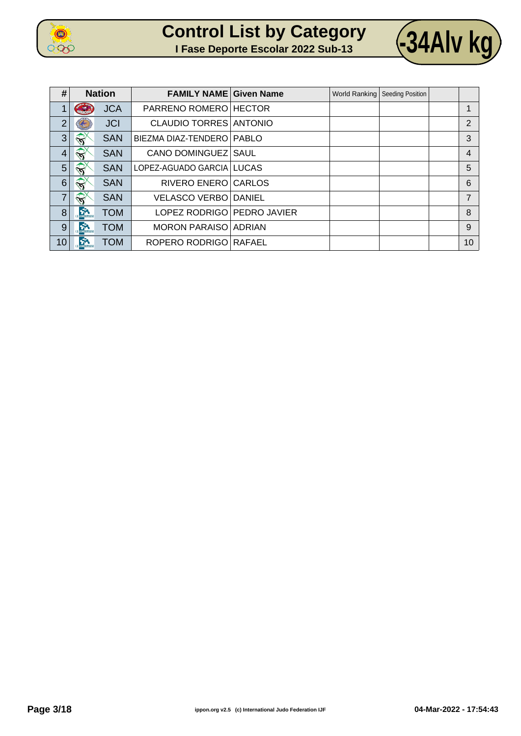

| <b>Control List by Category</b> |  |                                    |  |
|---------------------------------|--|------------------------------------|--|
|                                 |  | 1 Fase Deporte Escolar 2022 Sub-13 |  |



| #              | <b>Nation</b>          |            | <b>FAMILY NAME Given Name</b> |  | World Ranking   Seeding Position |                |
|----------------|------------------------|------------|-------------------------------|--|----------------------------------|----------------|
| 1              | <b>CALLED</b>          | <b>JCA</b> | PARRENO ROMERO HECTOR         |  |                                  |                |
| $\overline{2}$ |                        | <b>JCI</b> | <b>CLAUDIO TORRES ANTONIO</b> |  |                                  | $\overline{2}$ |
| 3              | $\widehat{\mathbf{x}}$ | <b>SAN</b> | BIEZMA DIAZ-TENDERO   PABLO   |  |                                  | 3              |
| $\overline{4}$ | $\sqrt{2}$             | <b>SAN</b> | CANO DOMINGUEZ SAUL           |  |                                  | $\overline{4}$ |
| 5              | <b>EXT</b>             | <b>SAN</b> | LOPEZ-AGUADO GARCIA   LUCAS   |  |                                  | 5              |
| 6              | <b>SI</b>              | <b>SAN</b> | RIVERO ENERO CARLOS           |  |                                  | 6              |
| $\overline{7}$ | $\widehat{\mathbf{S}}$ | <b>SAN</b> | <b>VELASCO VERBO DANIEL</b>   |  |                                  | $\overline{7}$ |
| 8              | <b>Control</b> Control | <b>TOM</b> | LOPEZ RODRIGO   PEDRO JAVIER  |  |                                  | 8              |
| 9              | <b>CALCO</b> TOWERIOSO | <b>TOM</b> | <b>MORON PARAISO ADRIAN</b>   |  |                                  | 9              |
| 10             | <b>SPA</b>             | <b>TOM</b> | ROPERO RODRIGO RAFAEL         |  |                                  | 10             |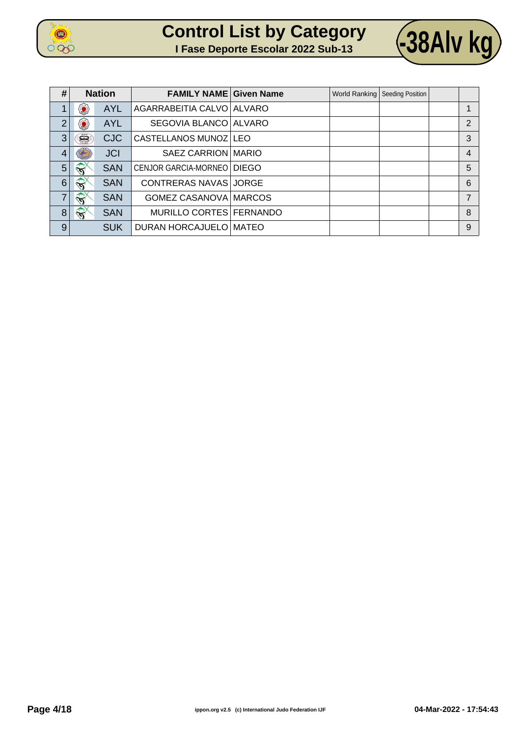

| <b>Control List by Category</b>    |  |  |
|------------------------------------|--|--|
| I Fase Deporte Escolar 2022 Sub-13 |  |  |



| #              | <b>Nation</b>          |            | <b>FAMILY NAME Given Name</b> |  | World Ranking   Seeding Position |                |
|----------------|------------------------|------------|-------------------------------|--|----------------------------------|----------------|
| 1              | ۷                      | <b>AYL</b> | AGARRABEITIA CALVO ALVARO     |  |                                  |                |
| $\overline{2}$ | ۵                      | <b>AYL</b> | SEGOVIA BLANCO ALVARO         |  |                                  | 2              |
| 3              | Ë                      | <b>CJC</b> | CASTELLANOS MUNOZ LEO         |  |                                  | 3              |
| $\overline{4}$ | $\left( -\right)$      | <b>JCI</b> | SAEZ CARRION MARIO            |  |                                  | $\overline{4}$ |
| 5 <sup>5</sup> | $\widehat{\mathbf{S}}$ | <b>SAN</b> | CENJOR GARCIA-MORNEO   DIEGO  |  |                                  | 5              |
| $6\phantom{1}$ | $\bigotimes$           | <b>SAN</b> | CONTRERAS NAVAS JORGE         |  |                                  | 6              |
| 7              | $\widehat{\mathbf{S}}$ | <b>SAN</b> | GOMEZ CASANOVA   MARCOS       |  |                                  | 7              |
| 8              | $\mathbf{S}^{\times}$  | <b>SAN</b> | MURILLO CORTES FERNANDO       |  |                                  | 8              |
| 9              |                        | <b>SUK</b> | DURAN HORCAJUELO MATEO        |  |                                  | 9              |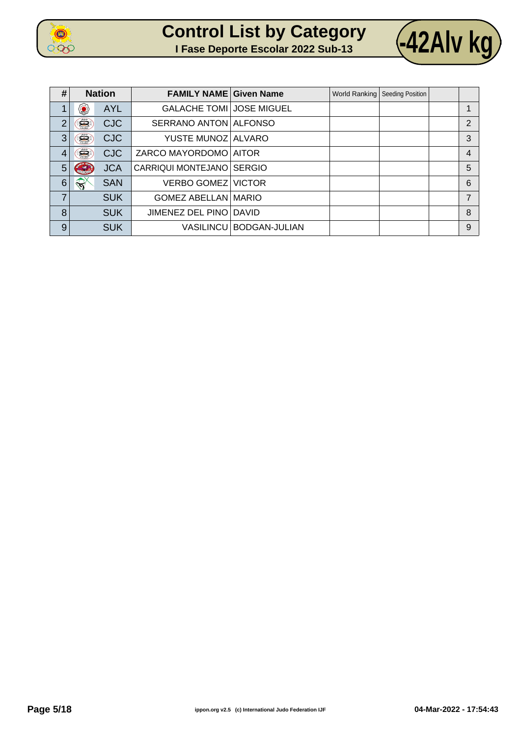

| <b>Control List by Category</b>    |  |  |
|------------------------------------|--|--|
| I Fase Deporte Escolar 2022 Sub-13 |  |  |



| #              | <b>Nation</b>            | <b>FAMILY NAME Given Name</b>   |                           | World Ranking   Seeding Position |                |
|----------------|--------------------------|---------------------------------|---------------------------|----------------------------------|----------------|
| 1              | ۷<br><b>AYL</b>          | <b>GALACHE TOMI JOSE MIGUEL</b> |                           |                                  |                |
| $\overline{2}$ | Ê<br><b>CJC</b>          | SERRANO ANTON ALFONSO           |                           |                                  | $\overline{2}$ |
| 3              | É.<br><b>CJC</b>         | YUSTE MUNOZ ALVARO              |                           |                                  | 3              |
| 4              | Ê<br><b>CJC</b>          | ZARCO MAYORDOMO   AITOR         |                           |                                  | $\overline{4}$ |
| 5              | <b>JCA</b>               | CARRIQUI MONTEJANO SERGIO       |                           |                                  | 5              |
| 6              | <b>SAN</b><br>$\sqrt{3}$ | <b>VERBO GOMEZ VICTOR</b>       |                           |                                  | 6              |
| 7              | <b>SUK</b>               | <b>GOMEZ ABELLAN MARIO</b>      |                           |                                  | 7              |
| 8              | <b>SUK</b>               | JIMENEZ DEL PINO DAVID          |                           |                                  | 8              |
| 9              | <b>SUK</b>               |                                 | VASILINCU   BODGAN-JULIAN |                                  | 9              |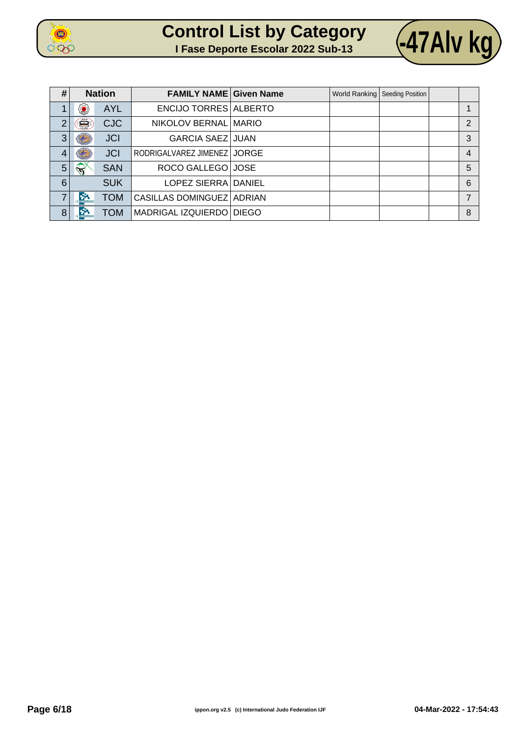

| <b>Control List by Category</b>    |  |  |
|------------------------------------|--|--|
| I Fase Deporte Escolar 2022 Sub-13 |  |  |



| #              | <b>Nation</b>          |            | <b>FAMILY NAME Given Name</b> |  | World Ranking   Seeding Position |               |
|----------------|------------------------|------------|-------------------------------|--|----------------------------------|---------------|
|                | ۷                      | <b>AYL</b> | <b>ENCIJO TORRES ALBERTO</b>  |  |                                  |               |
| $\overline{2}$ | Ë                      | <b>CJC</b> | NIKOLOV BERNAL MARIO          |  |                                  | $\mathcal{P}$ |
| 3              |                        | <b>JCI</b> | <b>GARCIA SAEZ JUAN</b>       |  |                                  | 3             |
| $\overline{4}$ |                        | <b>JCI</b> | RODRIGALVAREZ JIMENEZ JORGE   |  |                                  | 4             |
| 5              | $\widehat{\mathbf{y}}$ | <b>SAN</b> | ROCO GALLEGO JOSE             |  |                                  | 5             |
| 6              |                        | <b>SUK</b> | LOPEZ SIERRA DANIEL           |  |                                  | 6             |
| 7              | $\sum_{n=1}^{\infty}$  | <b>TOM</b> | CASILLAS DOMINGUEZ ADRIAN     |  |                                  |               |
| 8              | <b>Control</b>         | <b>TOM</b> | MADRIGAL IZQUIERDO   DIEGO    |  |                                  | 8             |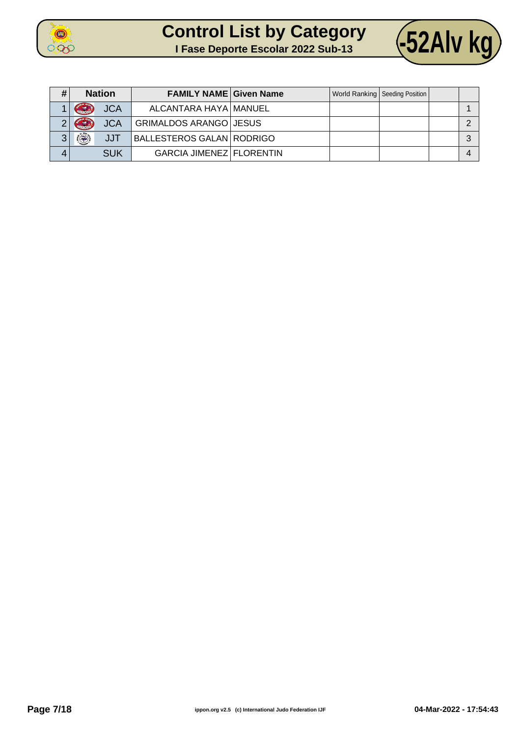



| # | <b>Nation</b>                     | <b>FAMILY NAME Given Name</b>    |  | World Ranking   Seeding Position |  |
|---|-----------------------------------|----------------------------------|--|----------------------------------|--|
|   | <b>JCA</b><br><b>Carl Service</b> | ALCANTARA HAYA MANUEL            |  |                                  |  |
| ◠ | GR<br><b>JCA</b>                  | <b>GRIMALDOS ARANGO JESUS</b>    |  |                                  |  |
| ≏ | JJT                               | <b>BALLESTEROS GALAN RODRIGO</b> |  |                                  |  |
|   | <b>SUK</b>                        | <b>GARCIA JIMENEZ FLORENTIN</b>  |  |                                  |  |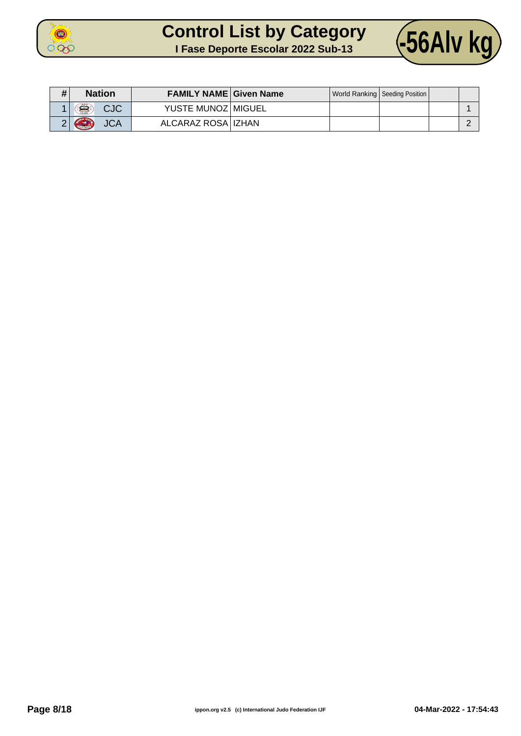



| # | <b>Nation</b>                 | <b>FAMILY NAME Given Name</b> |  | World Ranking   Seeding Position |  |
|---|-------------------------------|-------------------------------|--|----------------------------------|--|
|   | £<br><b>CJC</b>               | YUSTE MUNOZ   MIGUEL          |  |                                  |  |
|   | <b>Cubaccio</b><br><b>JCA</b> | ALCARAZ ROSA   IZHAN          |  |                                  |  |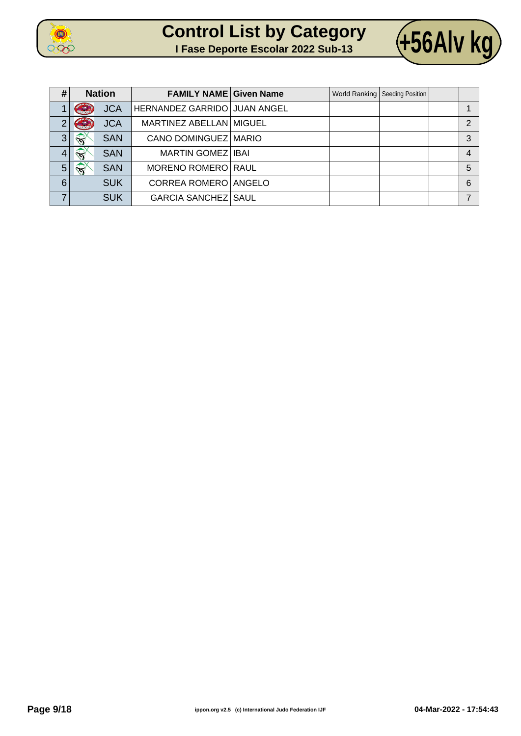





| #              | <b>Nation</b>          |            | <b>FAMILY NAME Given Name</b> |  | World Ranking   Seeding Position |                |
|----------------|------------------------|------------|-------------------------------|--|----------------------------------|----------------|
|                | <b>CALLED</b>          | <b>JCA</b> | HERNANDEZ GARRIDO JUAN ANGEL  |  |                                  |                |
| $\overline{2}$ | $\epsilon$             | <b>JCA</b> | MARTINEZ ABELLAN MIGUEL       |  |                                  | $\overline{2}$ |
| 3 <sub>1</sub> | $\widehat{\mathbf{N}}$ | <b>SAN</b> | CANO DOMINGUEZ MARIO          |  |                                  | 3              |
| 4              | $\mathbf{r}$           | <b>SAN</b> | <b>MARTIN GOMEZ   IBAI</b>    |  |                                  | $\overline{4}$ |
| $5\phantom{.}$ | $\sqrt{2}$             | <b>SAN</b> | <b>MORENO ROMERO RAUL</b>     |  |                                  | 5              |
| 6              |                        | <b>SUK</b> | CORREA ROMERO ANGELO          |  |                                  | 6              |
| ⇁              |                        | <b>SUK</b> | <b>GARCIA SANCHEZ SAUL</b>    |  |                                  |                |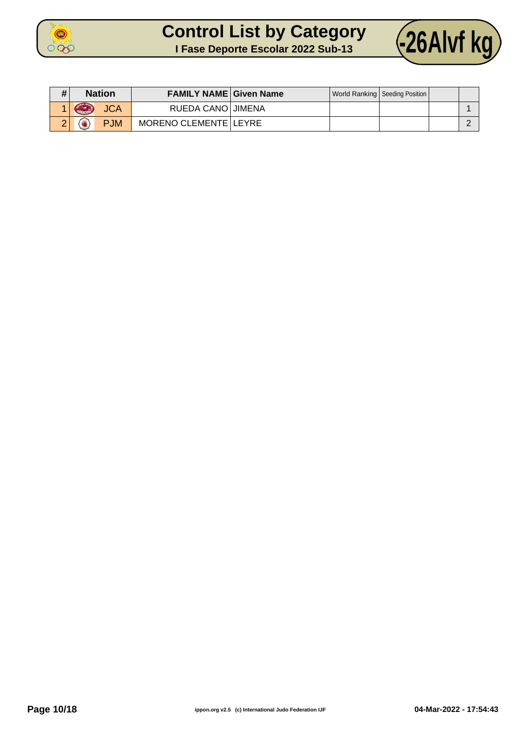



| # | <b>Nation</b>        | <b>FAMILY NAME Given Name</b> |  | World Ranking   Seeding Position |  |
|---|----------------------|-------------------------------|--|----------------------------------|--|
|   | GR<br><b>JCA</b>     | RUEDA CANO JIMENA             |  |                                  |  |
|   | <b>PJM</b><br>$\sim$ | MORENO CLEMENTE LEYRE         |  |                                  |  |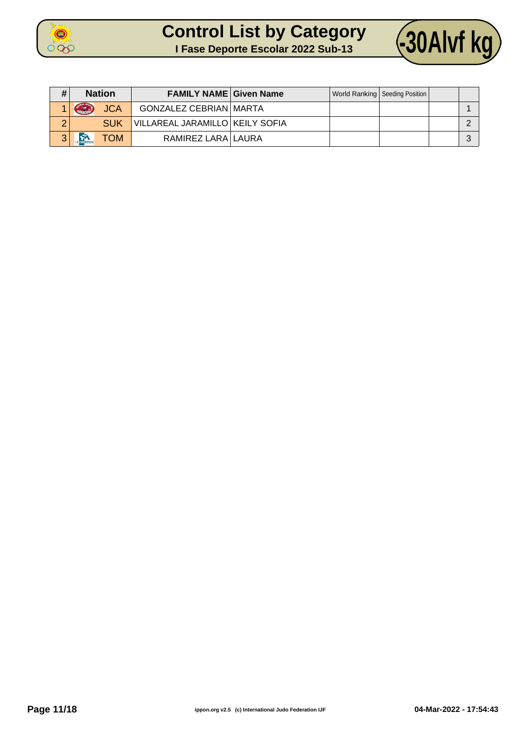



| # | <b>Nation</b>      | <b>FAMILY NAME Given Name</b>     |  | World Ranking   Seeding Position |  |
|---|--------------------|-----------------------------------|--|----------------------------------|--|
|   | GRAN<br><b>JCA</b> | <b>GONZALEZ CEBRIAN MARTA</b>     |  |                                  |  |
| ⌒ | <b>SUK</b>         | VILLAREAL JARAMILLO   KEILY SOFIA |  |                                  |  |
| 3 | <b>NOT</b>         | RAMIREZ LARA LAURA                |  |                                  |  |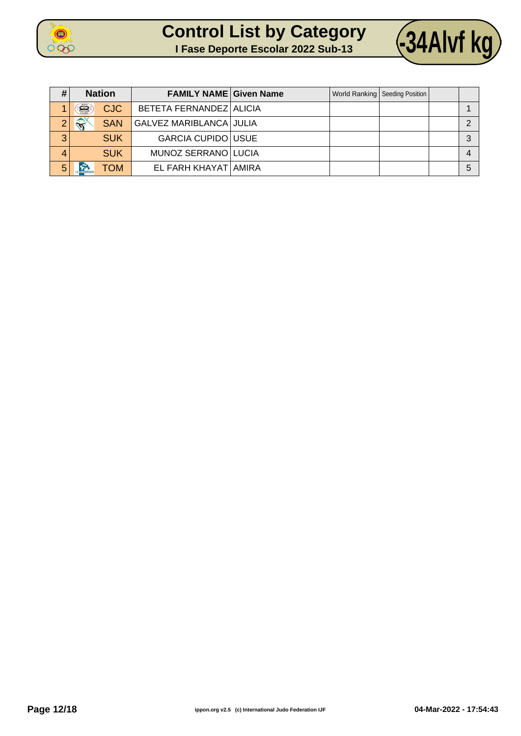



| #        | <b>Nation</b>             |            | <b>FAMILY NAME Given Name</b> |  | World Ranking   Seeding Position |   |
|----------|---------------------------|------------|-------------------------------|--|----------------------------------|---|
|          | Š                         | <b>CJC</b> | BETETA FERNANDEZ ALICIA       |  |                                  |   |
| $\Omega$ | $\mathbb{R}^{\mathbb{X}}$ | <b>SAN</b> | GALVEZ MARIBLANCA JULIA       |  |                                  |   |
| 3        |                           | <b>SUK</b> | <b>GARCIA CUPIDO USUE</b>     |  |                                  | ົ |
| 4        |                           | <b>SUK</b> | MUNOZ SERRANO LUCIA           |  |                                  |   |
| 5        |                           | ГОМ        | EL FARH KHAYAT AMIRA          |  |                                  | 5 |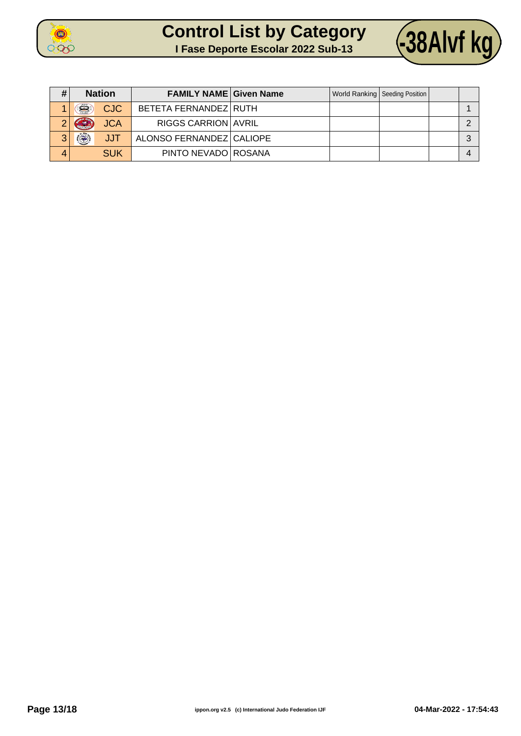



| # | <b>Nation</b> |            | <b>FAMILY NAME Given Name</b> |  | World Ranking   Seeding Position |          |
|---|---------------|------------|-------------------------------|--|----------------------------------|----------|
|   | Ë             | <b>CJC</b> | BETETA FERNANDEZ RUTH         |  |                                  |          |
| റ | <b>ASSESS</b> | <b>JCA</b> | <b>RIGGS CARRION AVRIL</b>    |  |                                  |          |
| 3 | $\circledR$   | <b>JJT</b> | ALONSO FERNANDEZ CALIOPE      |  |                                  | $\Omega$ |
| 4 |               | <b>SUK</b> | PINTO NEVADO ROSANA           |  |                                  |          |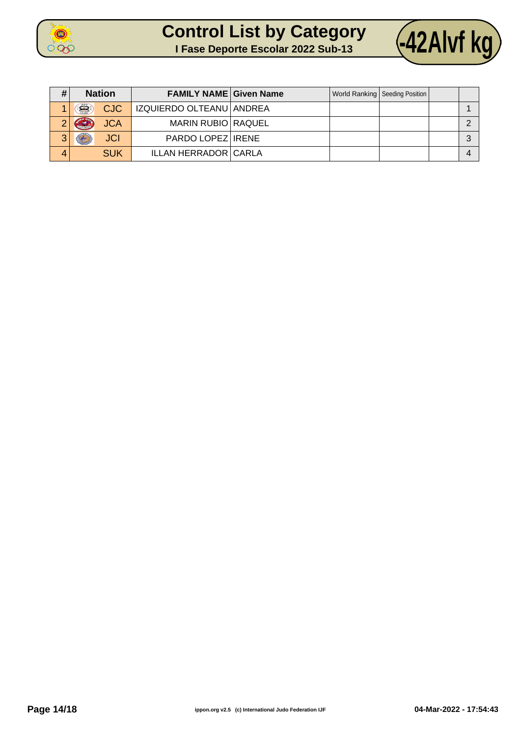



| #      | <b>Nation</b>        | <b>FAMILY NAME Given Name</b> |  | World Ranking   Seeding Position |  |
|--------|----------------------|-------------------------------|--|----------------------------------|--|
|        | Ë<br><b>CJC</b>      | IZQUIERDO OLTEANU ANDREA      |  |                                  |  |
|        | <b>JCA</b><br>ا جو ا | <b>MARIN RUBIO RAQUEL</b>     |  |                                  |  |
| ≏<br>ື | <b>JCI</b>           | PARDO LOPEZ IRENE             |  |                                  |  |
| 4      | <b>SUK</b>           | <b>ILLAN HERRADOR CARLA</b>   |  |                                  |  |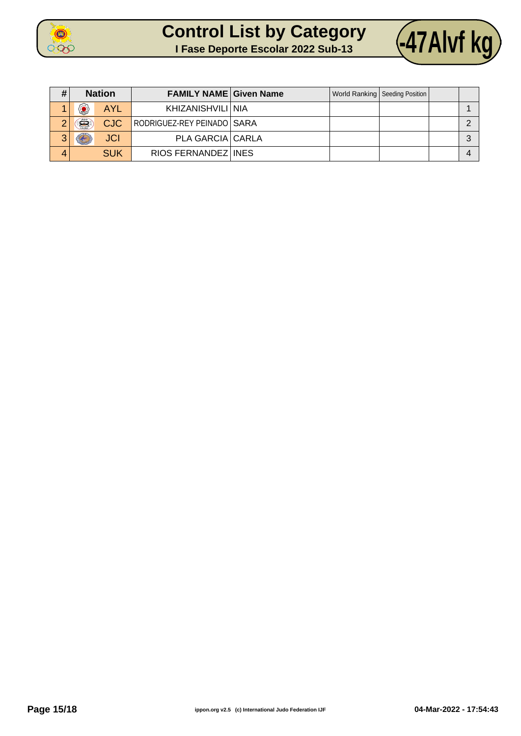



| #      | <b>Nation</b> |            | <b>FAMILY NAME Given Name</b> |  | World Ranking   Seeding Position |  |
|--------|---------------|------------|-------------------------------|--|----------------------------------|--|
|        | ۵             | <b>AYL</b> | KHIZANISHVILI I NIA           |  |                                  |  |
| ◠      | Ë             | <b>CJC</b> | RODRIGUEZ-REY PEINADO SARA    |  |                                  |  |
| າ<br>ື |               | <b>JCI</b> | PLA GARCIA CARLA              |  |                                  |  |
| 4      |               | <b>SUK</b> | RIOS FERNANDEZ INES           |  |                                  |  |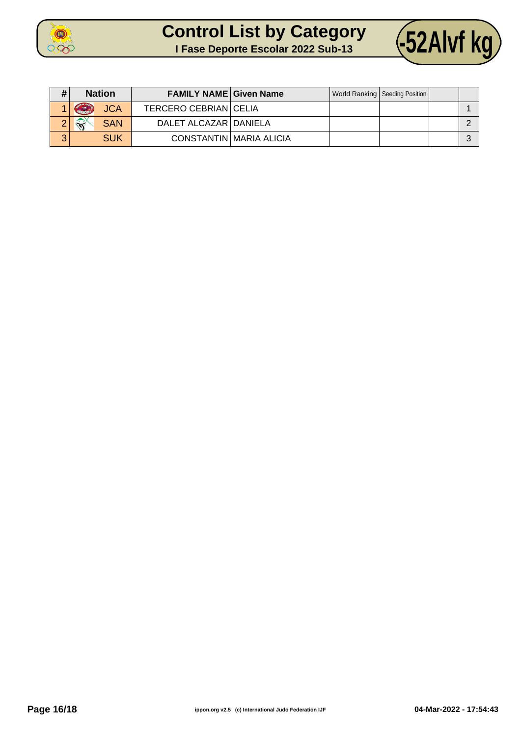



| # | <b>Nation</b>               | <b>FAMILY NAME Given Name</b> |                         | World Ranking   Seeding Position |  |
|---|-----------------------------|-------------------------------|-------------------------|----------------------------------|--|
|   | GR<br><b>JCA</b>            | <b>TERCERO CEBRIAN CELIA</b>  |                         |                                  |  |
|   | $\rightarrow$<br><b>SAN</b> | DALET ALCAZAR   DANIELA       |                         |                                  |  |
| 3 | <b>SUK</b>                  |                               | CONSTANTIN MARIA ALICIA |                                  |  |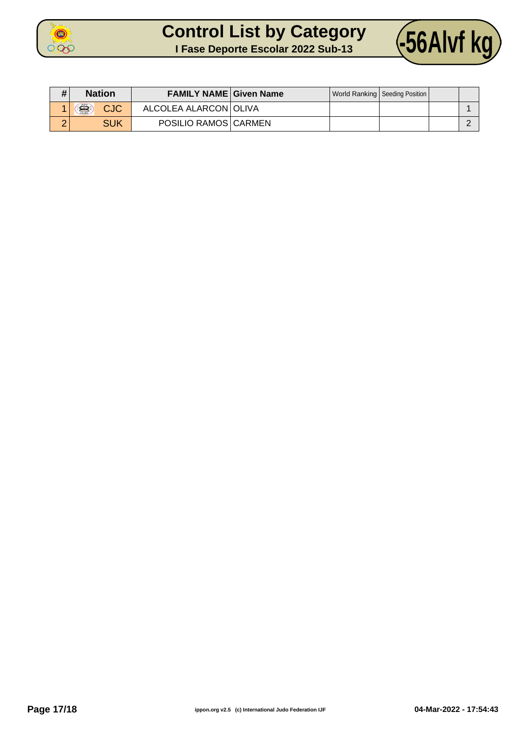



| $\bf{H}$ | <b>Nation</b>   | <b>FAMILY NAME Given Name</b> |  | World Ranking   Seeding Position |  |
|----------|-----------------|-------------------------------|--|----------------------------------|--|
|          | £<br><b>CJC</b> | ALCOLEA ALARCON OLIVA         |  |                                  |  |
|          | <b>SUK</b>      | POSILIO RAMOS CARMEN          |  |                                  |  |